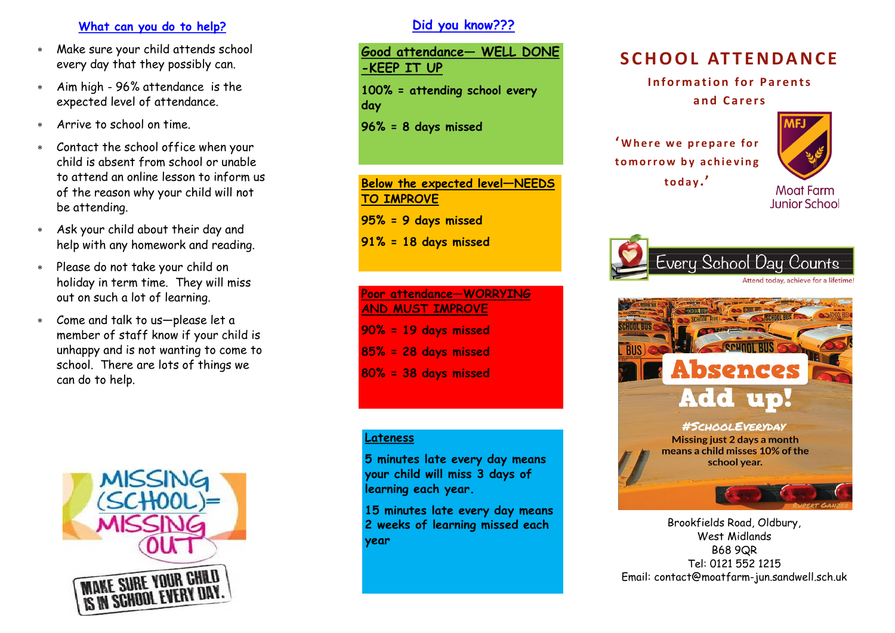#### **What can you do to help?**

- Make sure your child attends school every day that they possibly can.
- Aim high 96% attendance is the expected level of attendance.
- Arrive to school on time.
- Contact the school office when your child is absent from school or unable to attend an online lesson to inform us of the reason why your child will not be attending.
- Ask your child about their day and help with any homework and reading.
- Please do not take your child on holiday in term time. They will miss out on such a lot of learning.
- Come and talk to us—please let a member of staff know if your child is unhappy and is not wanting to come to school. There are lots of things we can do to help.



# **Did you know???**

**Good attendance— WELL DONE -KEEP IT UP 100% = attending school every day 96% = 8 days missed Below the expected level—NEEDS** 

**TO IMPROVE**

**95% = 9 days missed** 

**91% = 18 days missed**

# **Poor attendance—WORRYING AND MUST IMPROVE 90% = 19 days missed 85% = 28 days missed 80% = 38 days missed**

#### **Lateness**

**5 minutes late every day means your child will miss 3 days of learning each year.**

**15 minutes late every day means 2 weeks of learning missed each year**

# **S C H O O L AT T E N D A N C E**

**Information for Parents** 

**a n d C a r e r s**

<sup>'</sup> Where we prepare for to morrow by achieving **t o d a y .'**



**Junior School** 

Every School Day Counts Attend today, achieve for a lifetime



Brookfields Road, Oldbury, West Midlands B68 9QR Tel: 0121 552 1215 Email: contact@moatfarm-jun.sandwell.sch.uk